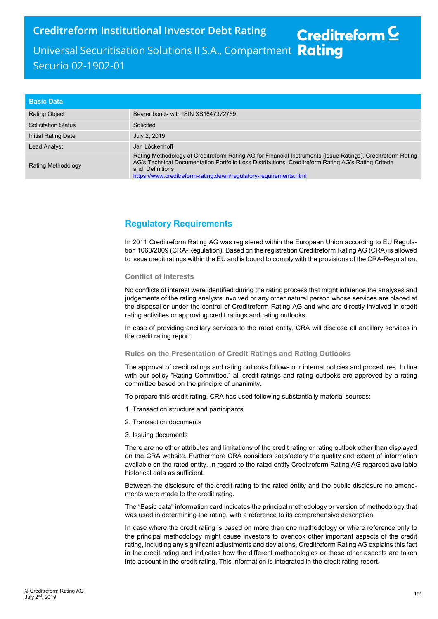Creditreform Institutional Investor Debt Rating Creditreform  $\subseteq$ Universal Securitisation Solutions II S.A., Compartment Rating Securio 02-1902-01

| <b>Basic Data</b>          |                                                                                                                                                                                                                                                                                                             |
|----------------------------|-------------------------------------------------------------------------------------------------------------------------------------------------------------------------------------------------------------------------------------------------------------------------------------------------------------|
| <b>Rating Object</b>       | Bearer bonds with ISIN XS1647372769                                                                                                                                                                                                                                                                         |
| <b>Solicitation Status</b> | Solicited                                                                                                                                                                                                                                                                                                   |
| Initial Rating Date        | July 2, 2019                                                                                                                                                                                                                                                                                                |
| Lead Analyst               | Jan Löckenhoff                                                                                                                                                                                                                                                                                              |
| <b>Rating Methodology</b>  | Rating Methodology of Creditreform Rating AG for Financial Instruments (Issue Ratings), Creditreform Rating<br>AG's Technical Documentation Portfolio Loss Distributions, Creditreform Rating AG's Rating Criteria<br>and Definitions<br>https://www.creditreform-rating.de/en/regulatory-requirements.html |

## Regulatory Requirements

In 2011 Creditreform Rating AG was registered within the European Union according to EU Regulation 1060/2009 (CRA-Regulation). Based on the registration Creditreform Rating AG (CRA) is allowed to issue credit ratings within the EU and is bound to comply with the provisions of the CRA-Regulation.

## Conflict of Interests

No conflicts of interest were identified during the rating process that might influence the analyses and judgements of the rating analysts involved or any other natural person whose services are placed at the disposal or under the control of Creditreform Rating AG and who are directly involved in credit rating activities or approving credit ratings and rating outlooks.

In case of providing ancillary services to the rated entity, CRA will disclose all ancillary services in the credit rating report.

## Rules on the Presentation of Credit Ratings and Rating Outlooks

The approval of credit ratings and rating outlooks follows our internal policies and procedures. In line with our policy "Rating Committee," all credit ratings and rating outlooks are approved by a rating committee based on the principle of unanimity.

To prepare this credit rating, CRA has used following substantially material sources:

- 1. Transaction structure and participants
- 2. Transaction documents
- 3. Issuing documents

There are no other attributes and limitations of the credit rating or rating outlook other than displayed on the CRA website. Furthermore CRA considers satisfactory the quality and extent of information available on the rated entity. In regard to the rated entity Creditreform Rating AG regarded available historical data as sufficient.

Between the disclosure of the credit rating to the rated entity and the public disclosure no amendments were made to the credit rating.

The "Basic data" information card indicates the principal methodology or version of methodology that was used in determining the rating, with a reference to its comprehensive description.

In case where the credit rating is based on more than one methodology or where reference only to the principal methodology might cause investors to overlook other important aspects of the credit rating, including any significant adjustments and deviations, Creditreform Rating AG explains this fact in the credit rating and indicates how the different methodologies or these other aspects are taken into account in the credit rating. This information is integrated in the credit rating report.